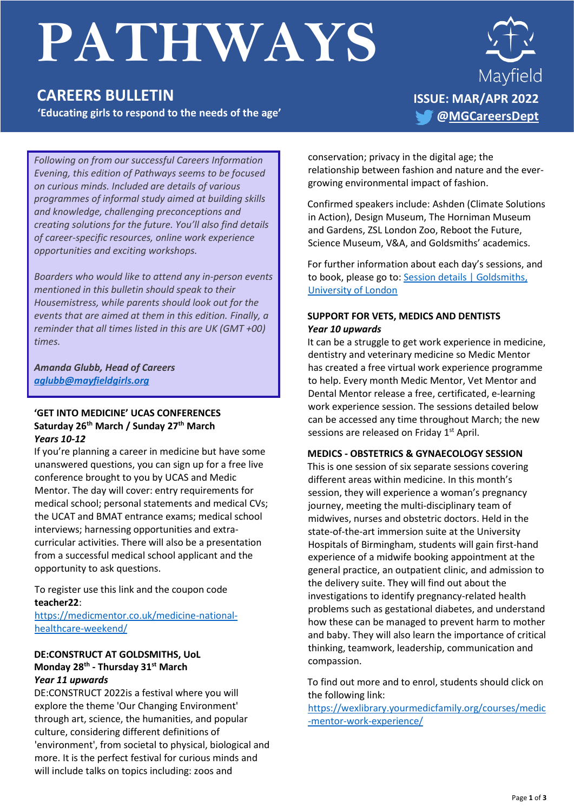# **PATHWAYS**

## **CAREERS BULLETIN**

**'Educating girls to respond to the needs of the age'** 



*Following on from our successful Careers Information Evening, this edition of Pathways seems to be focused on curious minds. Included are details of various programmes of informal study aimed at building skills and knowledge, challenging preconceptions and creating solutions for the future. You'll also find details of career-specific resources, online work experience opportunities and exciting workshops.*

*Boarders who would like to attend any in-person events mentioned in this bulletin should speak to their Housemistress, while parents should look out for the events that are aimed at them in this edition. Finally, a reminder that all times listed in this are UK (GMT +00) times.*

#### *Amanda Glubb, Head of Careers [aglubb@mayfieldgirls.org](mailto:aglubb@mayfieldgirls.org)*

#### **'GET INTO MEDICINE' UCAS CONFERENCES Saturday 26th March / Sunday 27th March**  *Years 10-12*

If you're planning a career in medicine but have some unanswered questions, you can sign up for a free live conference brought to you by UCAS and Medic Mentor. The day will cover: entry requirements for medical school; personal statements and medical CVs; the UCAT and BMAT entrance exams; medical school interviews; harnessing opportunities and extracurricular activities. There will also be a presentation from a successful medical school applicant and the opportunity to ask questions.

To register use this link and the coupon code **teacher22**:

[https://medicmentor.co.uk/medicine-national](https://medicmentor.co.uk/medicine-national-healthcare-weekend/)[healthcare-weekend/](https://medicmentor.co.uk/medicine-national-healthcare-weekend/)

#### **DE:CONSTRUCT AT GOLDSMITHS, UoL Monday 28th - Thursday 31st March** *Year 11 upwards*

DE:CONSTRUCT 2022is a festival where you will explore the theme 'Our Changing Environment' through art, science, the humanities, and popular culture, considering different definitions of 'environment', from societal to physical, biological and more. It is the perfect festival for curious minds and will include talks on topics including: zoos and

conservation; privacy in the digital age; the relationship between fashion and nature and the evergrowing environmental impact of fashion.

Confirmed speakers include: Ashden (Climate Solutions in Action), Design Museum, The Horniman Museum and Gardens, ZSL London Zoo, Reboot the Future, Science Museum, V&A, and Goldsmiths' academics.

For further information about each day's sessions, and to book, please go to: Session details | Goldsmiths, [University of London](https://www.gold.ac.uk/schools-and-colleges/deconstruct/session-details/)

#### **SUPPORT FOR VETS, MEDICS AND DENTISTS** *Year 10 upwards*

It can be a struggle to get work experience in medicine, dentistry and veterinary medicine so Medic Mentor has created a free virtual work experience programme to help. Every month Medic Mentor, Vet Mentor and Dental Mentor release a free, certificated, e-learning work experience session. The sessions detailed below can be accessed any time throughout March; the new sessions are released on Friday 1<sup>st</sup> April.

#### **MEDICS - OBSTETRICS & GYNAECOLOGY SESSION**

This is one session of six separate sessions covering different areas within medicine. In this month's session, they will experience a woman's pregnancy journey, meeting the multi-disciplinary team of midwives, nurses and obstetric doctors. Held in the state-of-the-art immersion suite at the University Hospitals of Birmingham, students will gain first-hand experience of a midwife booking appointment at the general practice, an outpatient clinic, and admission to the delivery suite. They will find out about the investigations to identify pregnancy-related health problems such as gestational diabetes, and understand how these can be managed to prevent harm to mother and baby. They will also learn the importance of critical thinking, teamwork, leadership, communication and compassion.

To find out more and to enrol, students should click on the following link:

[https://wexlibrary.yourmedicfamily.org/courses/medic](https://wexlibrary.yourmedicfamily.org/courses/medic-mentor-work-experience/) [-mentor-work-experience/](https://wexlibrary.yourmedicfamily.org/courses/medic-mentor-work-experience/)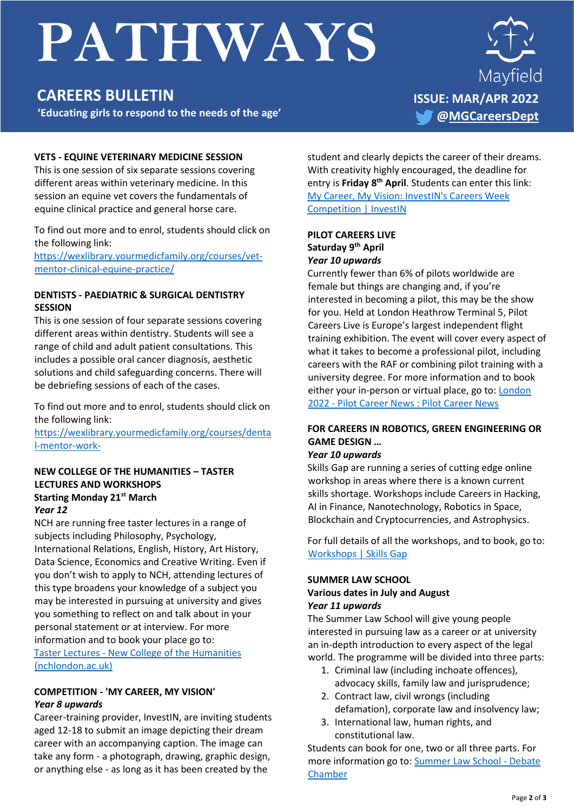# **PATHWAYS**

## **CAREERS BULLETIN**

**'Educating girls to respond to the needs of the age'** 



#### **VETS - EQUINE VETERINARY MEDICINE SESSION**

This is one session of six separate sessions covering different areas within veterinary medicine. In this session an equine vet covers the fundamentals of equine clinical practice and general horse care.

To find out more and to enrol, students should click on the following link:

[https://wexlibrary.yourmedicfamily.org/courses/vet](https://wexlibrary.yourmedicfamily.org/courses/vet-mentor-clinical-equine-practice/)[mentor-clinical-equine-practice/](https://wexlibrary.yourmedicfamily.org/courses/vet-mentor-clinical-equine-practice/)

#### **DENTISTS - PAEDIATRIC & SURGICAL DENTISTRY SESSION**

This is one session of four separate sessions covering different areas within dentistry. Students will see a range of child and adult patient consultations. This includes a possible oral cancer diagnosis, aesthetic solutions and child safeguarding concerns. There will be debriefing sessions of each of the cases.

To find out more and to enrol, students should click on the following link:

[https://wexlibrary.yourmedicfamily.org/courses/denta](https://wexlibrary.yourmedicfamily.org/courses/dental-mentor-work-) [l-mentor-work-](https://wexlibrary.yourmedicfamily.org/courses/dental-mentor-work-)

#### **NEW COLLEGE OF THE HUMANITIES – TASTER LECTURES AND WORKSHOPS Starting Monday 21st March** *Year 12*

NCH are running free taster lectures in a range of subjects including Philosophy, Psychology, International Relations, English, History, Art History, Data Science, Economics and Creative Writing. Even if you don't wish to apply to NCH, attending lectures of this type broadens your knowledge of a subject you may be interested in pursuing at university and gives you something to reflect on and talk about in your personal statement or at interview. For more information and to book your place go to: Taster Lectures - [New College of the Humanities](https://www.nchlondon.ac.uk/study/visit-us/ug-events/taster-lectures/)  [\(nchlondon.ac.uk\)](https://www.nchlondon.ac.uk/study/visit-us/ug-events/taster-lectures/)

#### **COMPETITION - 'MY CAREER, MY VISION'**  *Year 8 upwards*

Career-training provider, InvestIN, are inviting students aged 12-18 to submit an image depicting their dream career with an accompanying caption. The image can take any form - a photograph, drawing, graphic design, or anything else - as long as it has been created by the

student and clearly depicts the career of their dreams. With creativity highly encouraged, the deadline for entry is **Friday 8th April**. Students can enter this link: [My Career, My Vision: InvestIN's Careers Week](https://investin.org/blogs/news/careers-week-competition?utm_source=UK+SCHOOLS+MASTER&utm_campaign=9d91cb935c-bankersschoolmar_COPY_01&utm_medium=email&utm_term=0_bfccb03bbd-9d91cb935c-137542163&mc_cid=9d91cb935c&mc_eid=adbd51d5dd)  [Competition | InvestIN](https://investin.org/blogs/news/careers-week-competition?utm_source=UK+SCHOOLS+MASTER&utm_campaign=9d91cb935c-bankersschoolmar_COPY_01&utm_medium=email&utm_term=0_bfccb03bbd-9d91cb935c-137542163&mc_cid=9d91cb935c&mc_eid=adbd51d5dd)

#### **PILOT CAREERS LIVE Saturday 9th April** *Year 10 upwards*

Currently fewer than 6% of pilots worldwide are female but things are changing and, if you're interested in becoming a pilot, this may be the show for you. Held at London Heathrow Terminal 5, Pilot Careers Live is Europe's largest independent flight training exhibition. The event will cover every aspect of what it takes to become a professional pilot, including careers with the RAF or combining pilot training with a university degree. For more information and to book either your in-person or virtual place, go to: [London](https://www.pilotcareernews.com/live/london-2022/)  2022 - [Pilot Career News : Pilot Career News](https://www.pilotcareernews.com/live/london-2022/)

#### **FOR CAREERS IN ROBOTICS, GREEN ENGINEERING OR GAME DESIGN …**

#### *Year 10 upwards*

Skills Gap are running a series of cutting edge online workshop in areas where there is a known current skills shortage. Workshops include Careers in Hacking, AI in Finance, Nanotechnology, Robotics in Space, Blockchain and Cryptocurrencies, and Astrophysics.

For full details of all the workshops, and to book, go to: [Workshops | Skills Gap](https://www.skillsgap.tech/workshops)

### **SUMMER LAW SCHOOL Various dates in July and August**

*Year 11 upwards*

The Summer Law School will give young people interested in pursuing law as a career or at university an in-depth introduction to every aspect of the legal world. The programme will be divided into three parts:

- 1. Criminal law (including inchoate offences), advocacy skills, family law and jurisprudence;
- 2. Contract law, civil wrongs (including defamation), corporate law and insolvency law;
- 3. International law, human rights, and constitutional law.

Students can book for one, two or all three parts. For more information go to: [Summer Law School -](https://debatechamber.com/project/summer-law-school/) Debate [Chamber](https://debatechamber.com/project/summer-law-school/)